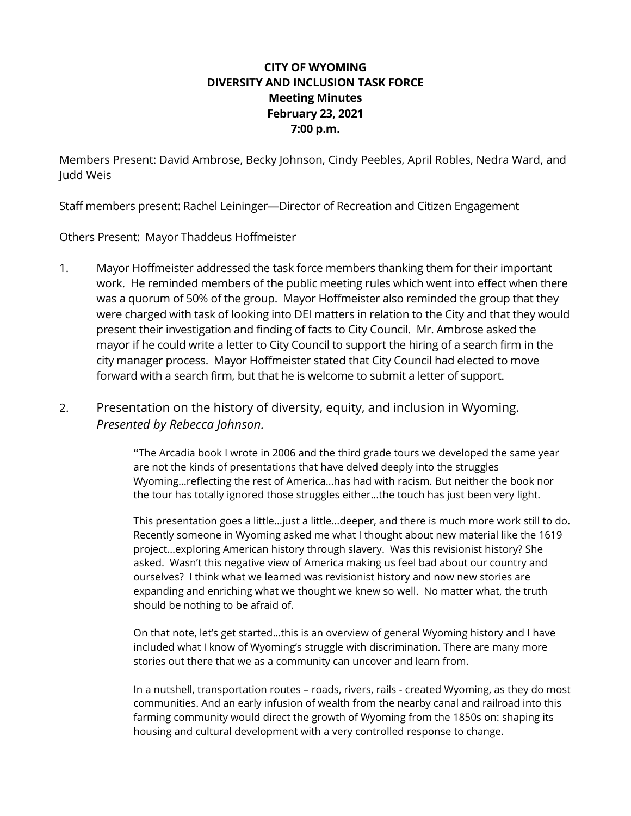# **CITY OF WYOMING DIVERSITY AND INCLUSION TASK FORCE Meeting Minutes February 23, 2021 7:00 p.m.**

Members Present: David Ambrose, Becky Johnson, Cindy Peebles, April Robles, Nedra Ward, and Judd Weis

Staff members present: Rachel Leininger—Director of Recreation and Citizen Engagement

Others Present: Mayor Thaddeus Hoffmeister

- 1. Mayor Hoffmeister addressed the task force members thanking them for their important work. He reminded members of the public meeting rules which went into effect when there was a quorum of 50% of the group. Mayor Hoffmeister also reminded the group that they were charged with task of looking into DEI matters in relation to the City and that they would present their investigation and finding of facts to City Council. Mr. Ambrose asked the mayor if he could write a letter to City Council to support the hiring of a search firm in the city manager process. Mayor Hoffmeister stated that City Council had elected to move forward with a search firm, but that he is welcome to submit a letter of support.
- 2. Presentation on the history of diversity, equity, and inclusion in Wyoming. *Presented by Rebecca Johnson.*

**"**The Arcadia book I wrote in 2006 and the third grade tours we developed the same year are not the kinds of presentations that have delved deeply into the struggles Wyoming…reflecting the rest of America…has had with racism. But neither the book nor the tour has totally ignored those struggles either…the touch has just been very light.

This presentation goes a little…just a little…deeper, and there is much more work still to do. Recently someone in Wyoming asked me what I thought about new material like the 1619 project…exploring American history through slavery. Was this revisionist history? She asked. Wasn't this negative view of America making us feel bad about our country and ourselves? I think what we learned was revisionist history and now new stories are expanding and enriching what we thought we knew so well. No matter what, the truth should be nothing to be afraid of.

On that note, let's get started…this is an overview of general Wyoming history and I have included what I know of Wyoming's struggle with discrimination. There are many more stories out there that we as a community can uncover and learn from.

In a nutshell, transportation routes – roads, rivers, rails - created Wyoming, as they do most communities. And an early infusion of wealth from the nearby canal and railroad into this farming community would direct the growth of Wyoming from the 1850s on: shaping its housing and cultural development with a very controlled response to change.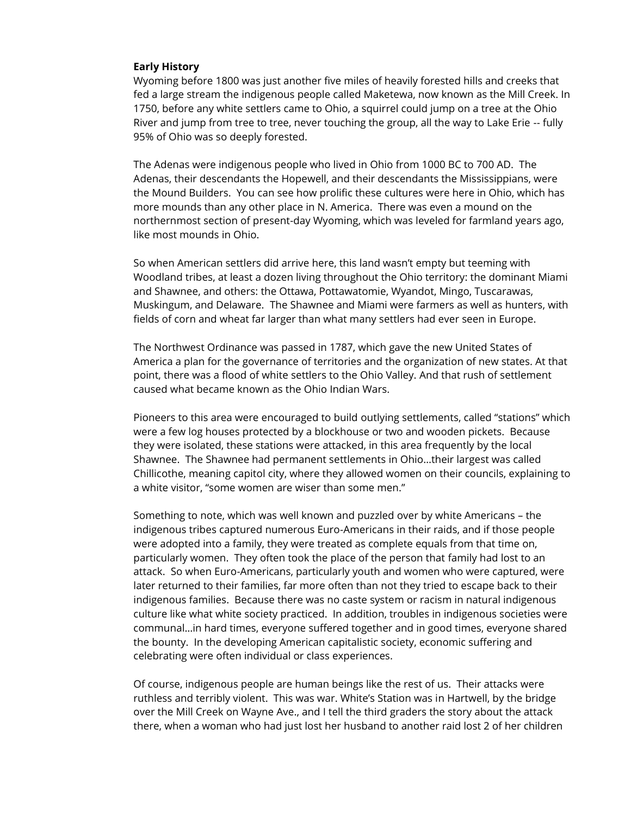## **Early History**

Wyoming before 1800 was just another five miles of heavily forested hills and creeks that fed a large stream the indigenous people called Maketewa, now known as the Mill Creek. In 1750, before any white settlers came to Ohio, a squirrel could jump on a tree at the Ohio River and jump from tree to tree, never touching the group, all the way to Lake Erie -- fully 95% of Ohio was so deeply forested.

The Adenas were indigenous people who lived in Ohio from 1000 BC to 700 AD. The Adenas, their descendants the Hopewell, and their descendants the Mississippians, were the Mound Builders. You can see how prolific these cultures were here in Ohio, which has more mounds than any other place in N. America. There was even a mound on the northernmost section of present-day Wyoming, which was leveled for farmland years ago, like most mounds in Ohio.

So when American settlers did arrive here, this land wasn't empty but teeming with Woodland tribes, at least a dozen living throughout the Ohio territory: the dominant Miami and Shawnee, and others: the Ottawa, Pottawatomie, Wyandot, Mingo, Tuscarawas, Muskingum, and Delaware. The Shawnee and Miami were farmers as well as hunters, with fields of corn and wheat far larger than what many settlers had ever seen in Europe.

The Northwest Ordinance was passed in 1787, which gave the new United States of America a plan for the governance of territories and the organization of new states. At that point, there was a flood of white settlers to the Ohio Valley. And that rush of settlement caused what became known as the Ohio Indian Wars.

Pioneers to this area were encouraged to build outlying settlements, called "stations" which were a few log houses protected by a blockhouse or two and wooden pickets. Because they were isolated, these stations were attacked, in this area frequently by the local Shawnee. The Shawnee had permanent settlements in Ohio…their largest was called Chillicothe, meaning capitol city, where they allowed women on their councils, explaining to a white visitor, "some women are wiser than some men."

Something to note, which was well known and puzzled over by white Americans – the indigenous tribes captured numerous Euro-Americans in their raids, and if those people were adopted into a family, they were treated as complete equals from that time on, particularly women. They often took the place of the person that family had lost to an attack. So when Euro-Americans, particularly youth and women who were captured, were later returned to their families, far more often than not they tried to escape back to their indigenous families. Because there was no caste system or racism in natural indigenous culture like what white society practiced. In addition, troubles in indigenous societies were communal…in hard times, everyone suffered together and in good times, everyone shared the bounty. In the developing American capitalistic society, economic suffering and celebrating were often individual or class experiences.

Of course, indigenous people are human beings like the rest of us. Their attacks were ruthless and terribly violent. This was war. White's Station was in Hartwell, by the bridge over the Mill Creek on Wayne Ave., and I tell the third graders the story about the attack there, when a woman who had just lost her husband to another raid lost 2 of her children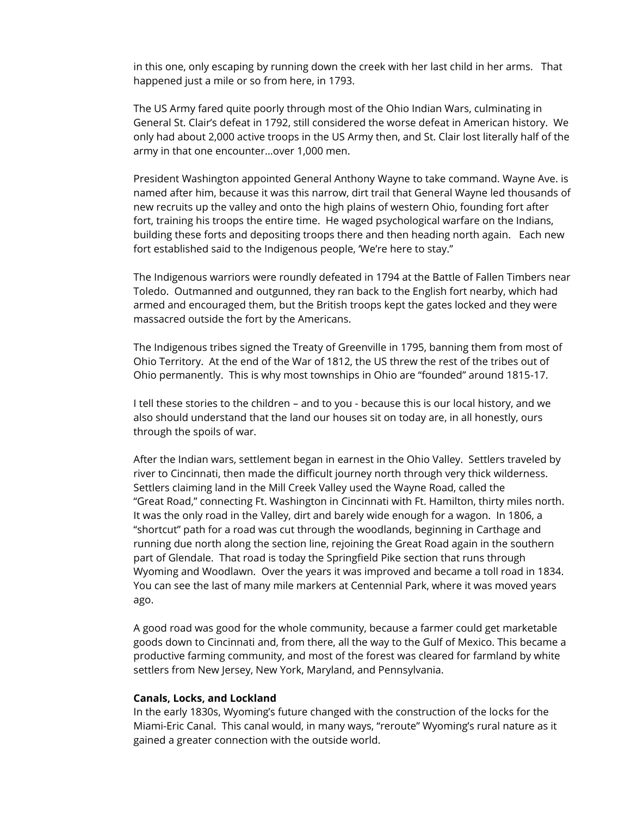in this one, only escaping by running down the creek with her last child in her arms. That happened just a mile or so from here, in 1793.

The US Army fared quite poorly through most of the Ohio Indian Wars, culminating in General St. Clair's defeat in 1792, still considered the worse defeat in American history. We only had about 2,000 active troops in the US Army then, and St. Clair lost literally half of the army in that one encounter…over 1,000 men.

President Washington appointed General Anthony Wayne to take command. Wayne Ave. is named after him, because it was this narrow, dirt trail that General Wayne led thousands of new recruits up the valley and onto the high plains of western Ohio, founding fort after fort, training his troops the entire time. He waged psychological warfare on the Indians, building these forts and depositing troops there and then heading north again. Each new fort established said to the Indigenous people, 'We're here to stay."

The Indigenous warriors were roundly defeated in 1794 at the Battle of Fallen Timbers near Toledo. Outmanned and outgunned, they ran back to the English fort nearby, which had armed and encouraged them, but the British troops kept the gates locked and they were massacred outside the fort by the Americans.

The Indigenous tribes signed the Treaty of Greenville in 1795, banning them from most of Ohio Territory. At the end of the War of 1812, the US threw the rest of the tribes out of Ohio permanently. This is why most townships in Ohio are "founded" around 1815-17.

I tell these stories to the children – and to you - because this is our local history, and we also should understand that the land our houses sit on today are, in all honestly, ours through the spoils of war.

After the Indian wars, settlement began in earnest in the Ohio Valley. Settlers traveled by river to Cincinnati, then made the difficult journey north through very thick wilderness. Settlers claiming land in the Mill Creek Valley used the Wayne Road, called the "Great Road," connecting Ft. Washington in Cincinnati with Ft. Hamilton, thirty miles north. It was the only road in the Valley, dirt and barely wide enough for a wagon. In 1806, a "shortcut" path for a road was cut through the woodlands, beginning in Carthage and running due north along the section line, rejoining the Great Road again in the southern part of Glendale. That road is today the Springfield Pike section that runs through Wyoming and Woodlawn. Over the years it was improved and became a toll road in 1834. You can see the last of many mile markers at Centennial Park, where it was moved years ago.

A good road was good for the whole community, because a farmer could get marketable goods down to Cincinnati and, from there, all the way to the Gulf of Mexico. This became a productive farming community, and most of the forest was cleared for farmland by white settlers from New Jersey, New York, Maryland, and Pennsylvania.

#### **Canals, Locks, and Lockland**

In the early 1830s, Wyoming's future changed with the construction of the locks for the Miami-Eric Canal. This canal would, in many ways, "reroute" Wyoming's rural nature as it gained a greater connection with the outside world.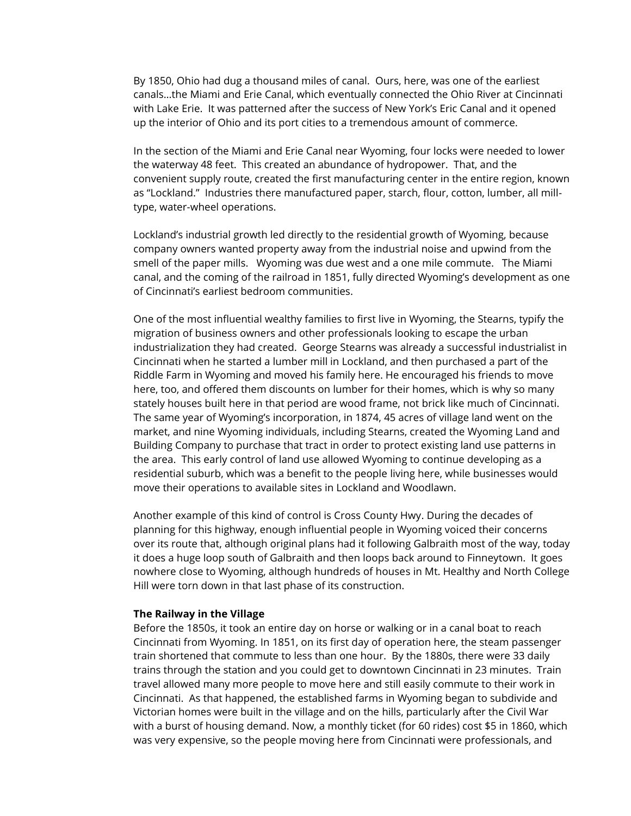By 1850, Ohio had dug a thousand miles of canal. Ours, here, was one of the earliest canals…the Miami and Erie Canal, which eventually connected the Ohio River at Cincinnati with Lake Erie. It was patterned after the success of New York's Eric Canal and it opened up the interior of Ohio and its port cities to a tremendous amount of commerce.

In the section of the Miami and Erie Canal near Wyoming, four locks were needed to lower the waterway 48 feet. This created an abundance of hydropower. That, and the convenient supply route, created the first manufacturing center in the entire region, known as "Lockland." Industries there manufactured paper, starch, flour, cotton, lumber, all milltype, water-wheel operations.

Lockland's industrial growth led directly to the residential growth of Wyoming, because company owners wanted property away from the industrial noise and upwind from the smell of the paper mills. Wyoming was due west and a one mile commute. The Miami canal, and the coming of the railroad in 1851, fully directed Wyoming's development as one of Cincinnati's earliest bedroom communities.

One of the most influential wealthy families to first live in Wyoming, the Stearns, typify the migration of business owners and other professionals looking to escape the urban industrialization they had created. George Stearns was already a successful industrialist in Cincinnati when he started a lumber mill in Lockland, and then purchased a part of the Riddle Farm in Wyoming and moved his family here. He encouraged his friends to move here, too, and offered them discounts on lumber for their homes, which is why so many stately houses built here in that period are wood frame, not brick like much of Cincinnati. The same year of Wyoming's incorporation, in 1874, 45 acres of village land went on the market, and nine Wyoming individuals, including Stearns, created the Wyoming Land and Building Company to purchase that tract in order to protect existing land use patterns in the area. This early control of land use allowed Wyoming to continue developing as a residential suburb, which was a benefit to the people living here, while businesses would move their operations to available sites in Lockland and Woodlawn.

Another example of this kind of control is Cross County Hwy. During the decades of planning for this highway, enough influential people in Wyoming voiced their concerns over its route that, although original plans had it following Galbraith most of the way, today it does a huge loop south of Galbraith and then loops back around to Finneytown. It goes nowhere close to Wyoming, although hundreds of houses in Mt. Healthy and North College Hill were torn down in that last phase of its construction.

#### **The Railway in the Village**

Before the 1850s, it took an entire day on horse or walking or in a canal boat to reach Cincinnati from Wyoming. In 1851, on its first day of operation here, the steam passenger train shortened that commute to less than one hour. By the 1880s, there were 33 daily trains through the station and you could get to downtown Cincinnati in 23 minutes. Train travel allowed many more people to move here and still easily commute to their work in Cincinnati. As that happened, the established farms in Wyoming began to subdivide and Victorian homes were built in the village and on the hills, particularly after the Civil War with a burst of housing demand. Now, a monthly ticket (for 60 rides) cost \$5 in 1860, which was very expensive, so the people moving here from Cincinnati were professionals, and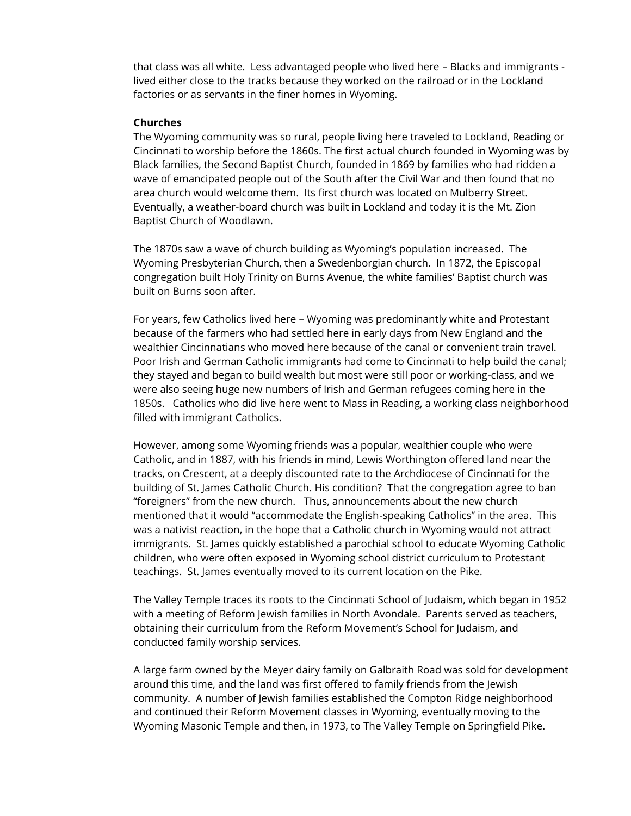that class was all white. Less advantaged people who lived here – Blacks and immigrants lived either close to the tracks because they worked on the railroad or in the Lockland factories or as servants in the finer homes in Wyoming.

#### **Churches**

The Wyoming community was so rural, people living here traveled to Lockland, Reading or Cincinnati to worship before the 1860s. The first actual church founded in Wyoming was by Black families, the Second Baptist Church, founded in 1869 by families who had ridden a wave of emancipated people out of the South after the Civil War and then found that no area church would welcome them. Its first church was located on Mulberry Street. Eventually, a weather-board church was built in Lockland and today it is the Mt. Zion Baptist Church of Woodlawn.

The 1870s saw a wave of church building as Wyoming's population increased. The Wyoming Presbyterian Church, then a Swedenborgian church. In 1872, the Episcopal congregation built Holy Trinity on Burns Avenue, the white families' Baptist church was built on Burns soon after.

For years, few Catholics lived here – Wyoming was predominantly white and Protestant because of the farmers who had settled here in early days from New England and the wealthier Cincinnatians who moved here because of the canal or convenient train travel. Poor Irish and German Catholic immigrants had come to Cincinnati to help build the canal; they stayed and began to build wealth but most were still poor or working-class, and we were also seeing huge new numbers of Irish and German refugees coming here in the 1850s. Catholics who did live here went to Mass in Reading, a working class neighborhood filled with immigrant Catholics.

However, among some Wyoming friends was a popular, wealthier couple who were Catholic, and in 1887, with his friends in mind, Lewis Worthington offered land near the tracks, on Crescent, at a deeply discounted rate to the Archdiocese of Cincinnati for the building of St. James Catholic Church. His condition? That the congregation agree to ban "foreigners" from the new church. Thus, announcements about the new church mentioned that it would "accommodate the English-speaking Catholics" in the area. This was a nativist reaction, in the hope that a Catholic church in Wyoming would not attract immigrants. St. James quickly established a parochial school to educate Wyoming Catholic children, who were often exposed in Wyoming school district curriculum to Protestant teachings. St. James eventually moved to its current location on the Pike.

The Valley Temple traces its roots to the Cincinnati School of Judaism, which began in 1952 with a meeting of Reform Jewish families in North Avondale. Parents served as teachers, obtaining their curriculum from the Reform Movement's School for Judaism, and conducted family worship services.

A large farm owned by the Meyer dairy family on Galbraith Road was sold for development around this time, and the land was first offered to family friends from the Jewish community. A number of Jewish families established the Compton Ridge neighborhood and continued their Reform Movement classes in Wyoming, eventually moving to the Wyoming Masonic Temple and then, in 1973, to The Valley Temple on Springfield Pike.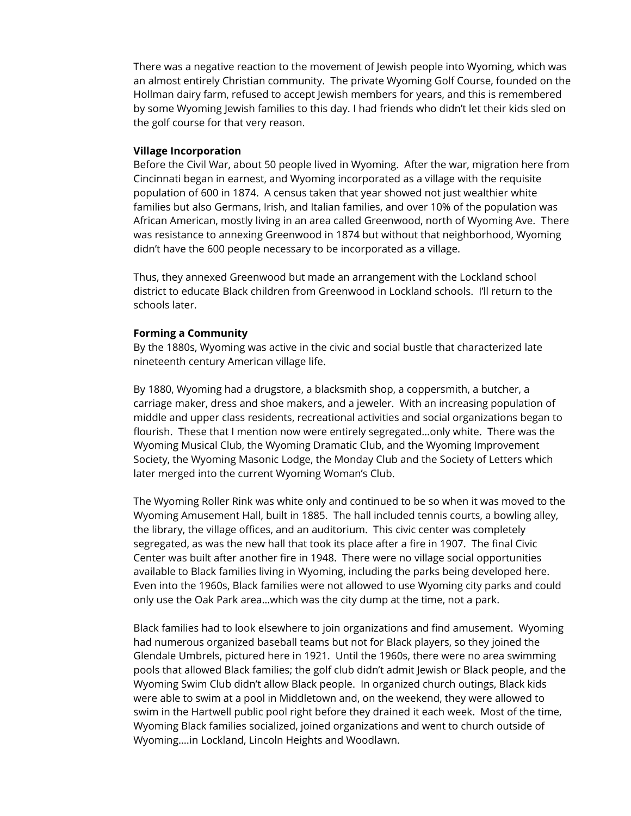There was a negative reaction to the movement of Jewish people into Wyoming, which was an almost entirely Christian community. The private Wyoming Golf Course, founded on the Hollman dairy farm, refused to accept Jewish members for years, and this is remembered by some Wyoming Jewish families to this day. I had friends who didn't let their kids sled on the golf course for that very reason.

## **Village Incorporation**

Before the Civil War, about 50 people lived in Wyoming. After the war, migration here from Cincinnati began in earnest, and Wyoming incorporated as a village with the requisite population of 600 in 1874. A census taken that year showed not just wealthier white families but also Germans, Irish, and Italian families, and over 10% of the population was African American, mostly living in an area called Greenwood, north of Wyoming Ave. There was resistance to annexing Greenwood in 1874 but without that neighborhood, Wyoming didn't have the 600 people necessary to be incorporated as a village.

Thus, they annexed Greenwood but made an arrangement with the Lockland school district to educate Black children from Greenwood in Lockland schools. I'll return to the schools later.

## **Forming a Community**

By the 1880s, Wyoming was active in the civic and social bustle that characterized late nineteenth century American village life.

By 1880, Wyoming had a drugstore, a blacksmith shop, a coppersmith, a butcher, a carriage maker, dress and shoe makers, and a jeweler. With an increasing population of middle and upper class residents, recreational activities and social organizations began to flourish. These that I mention now were entirely segregated…only white. There was the Wyoming Musical Club, the Wyoming Dramatic Club, and the Wyoming Improvement Society, the Wyoming Masonic Lodge, the Monday Club and the Society of Letters which later merged into the current Wyoming Woman's Club.

The Wyoming Roller Rink was white only and continued to be so when it was moved to the Wyoming Amusement Hall, built in 1885. The hall included tennis courts, a bowling alley, the library, the village offices, and an auditorium. This civic center was completely segregated, as was the new hall that took its place after a fire in 1907. The final Civic Center was built after another fire in 1948. There were no village social opportunities available to Black families living in Wyoming, including the parks being developed here. Even into the 1960s, Black families were not allowed to use Wyoming city parks and could only use the Oak Park area…which was the city dump at the time, not a park.

Black families had to look elsewhere to join organizations and find amusement. Wyoming had numerous organized baseball teams but not for Black players, so they joined the Glendale Umbrels, pictured here in 1921. Until the 1960s, there were no area swimming pools that allowed Black families; the golf club didn't admit Jewish or Black people, and the Wyoming Swim Club didn't allow Black people. In organized church outings, Black kids were able to swim at a pool in Middletown and, on the weekend, they were allowed to swim in the Hartwell public pool right before they drained it each week. Most of the time, Wyoming Black families socialized, joined organizations and went to church outside of Wyoming….in Lockland, Lincoln Heights and Woodlawn.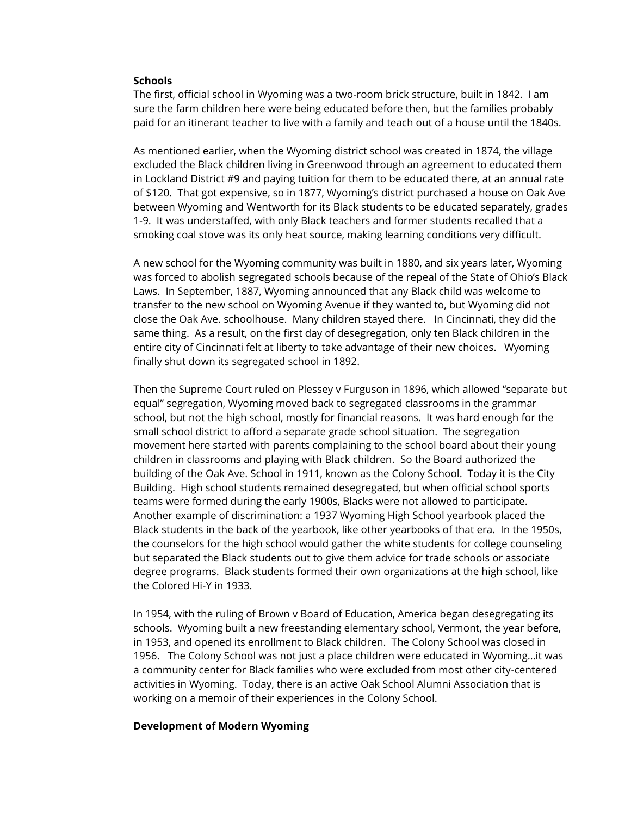#### **Schools**

The first, official school in Wyoming was a two-room brick structure, built in 1842. I am sure the farm children here were being educated before then, but the families probably paid for an itinerant teacher to live with a family and teach out of a house until the 1840s.

As mentioned earlier, when the Wyoming district school was created in 1874, the village excluded the Black children living in Greenwood through an agreement to educated them in Lockland District #9 and paying tuition for them to be educated there, at an annual rate of \$120. That got expensive, so in 1877, Wyoming's district purchased a house on Oak Ave between Wyoming and Wentworth for its Black students to be educated separately, grades 1-9. It was understaffed, with only Black teachers and former students recalled that a smoking coal stove was its only heat source, making learning conditions very difficult.

A new school for the Wyoming community was built in 1880, and six years later, Wyoming was forced to abolish segregated schools because of the repeal of the State of Ohio's Black Laws. In September, 1887, Wyoming announced that any Black child was welcome to transfer to the new school on Wyoming Avenue if they wanted to, but Wyoming did not close the Oak Ave. schoolhouse. Many children stayed there. In Cincinnati, they did the same thing. As a result, on the first day of desegregation, only ten Black children in the entire city of Cincinnati felt at liberty to take advantage of their new choices. Wyoming finally shut down its segregated school in 1892.

Then the Supreme Court ruled on Plessey v Furguson in 1896, which allowed "separate but equal" segregation, Wyoming moved back to segregated classrooms in the grammar school, but not the high school, mostly for financial reasons. It was hard enough for the small school district to afford a separate grade school situation. The segregation movement here started with parents complaining to the school board about their young children in classrooms and playing with Black children. So the Board authorized the building of the Oak Ave. School in 1911, known as the Colony School. Today it is the City Building. High school students remained desegregated, but when official school sports teams were formed during the early 1900s, Blacks were not allowed to participate. Another example of discrimination: a 1937 Wyoming High School yearbook placed the Black students in the back of the yearbook, like other yearbooks of that era. In the 1950s, the counselors for the high school would gather the white students for college counseling but separated the Black students out to give them advice for trade schools or associate degree programs. Black students formed their own organizations at the high school, like the Colored Hi-Y in 1933.

In 1954, with the ruling of Brown v Board of Education, America began desegregating its schools. Wyoming built a new freestanding elementary school, Vermont, the year before, in 1953, and opened its enrollment to Black children. The Colony School was closed in 1956. The Colony School was not just a place children were educated in Wyoming…it was a community center for Black families who were excluded from most other city-centered activities in Wyoming. Today, there is an active Oak School Alumni Association that is working on a memoir of their experiences in the Colony School.

#### **Development of Modern Wyoming**